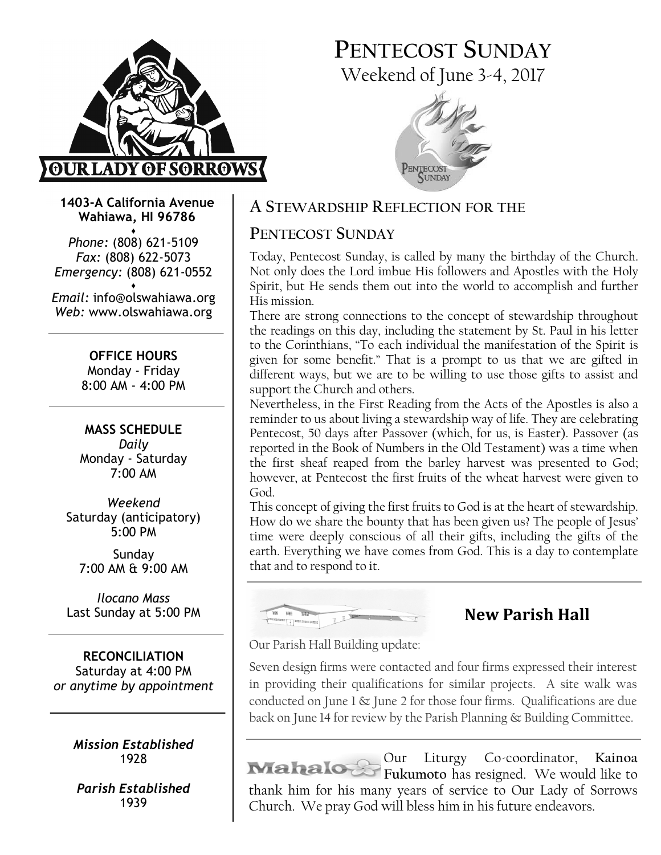

# PENTECOST SUNDAY Weekend of June 3-4, 2017



1403-A California Avenue Wahiawa, HI 96786 ♦

Phone: (808) 621-5109 Fax: (808) 622-5073 Emergency: (808) 621-0552 ♦

Email: info@olswahiawa.org Web: www.olswahiawa.org

> OFFICE HOURS Monday - Friday 8:00 AM - 4:00 PM

MASS SCHEDULE Daily Monday - Saturday 7:00 AM

Weekend Saturday (anticipatory) 5:00 PM

Sunday 7:00 AM & 9:00 AM

Ilocano Mass Last Sunday at 5:00 PM

RECONCILIATION Saturday at 4:00 PM or anytime by appointment

> Mission Established 1928

Parish Established 1939

# A STEWARDSHIP REFLECTION FOR THE

# PENTECOST SUNDAY

Today, Pentecost Sunday, is called by many the birthday of the Church. Not only does the Lord imbue His followers and Apostles with the Holy Spirit, but He sends them out into the world to accomplish and further His mission.

There are strong connections to the concept of stewardship throughout the readings on this day, including the statement by St. Paul in his letter to the Corinthians, "To each individual the manifestation of the Spirit is given for some benefit." That is a prompt to us that we are gifted in different ways, but we are to be willing to use those gifts to assist and support the Church and others.

Nevertheless, in the First Reading from the Acts of the Apostles is also a reminder to us about living a stewardship way of life. They are celebrating Pentecost, 50 days after Passover (which, for us, is Easter). Passover (as reported in the Book of Numbers in the Old Testament) was a time when the first sheaf reaped from the barley harvest was presented to God; however, at Pentecost the first fruits of the wheat harvest were given to God.

This concept of giving the first fruits to God is at the heart of stewardship. How do we share the bounty that has been given us? The people of Jesus' time were deeply conscious of all their gifts, including the gifts of the earth. Everything we have comes from God. This is a day to contemplate that and to respond to it.



# New Parish Hall

Our Parish Hall Building update:

Seven design firms were contacted and four firms expressed their interest in providing their qualifications for similar projects. A site walk was conducted on June 1 & June 2 for those four firms. Qualifications are due back on June 14 for review by the Parish Planning & Building Committee.

Our Liturgy Co-coordinator, Kainoa Fukumoto has resigned. We would like to thank him for his many years of service to Our Lady of Sorrows Church. We pray God will bless him in his future endeavors.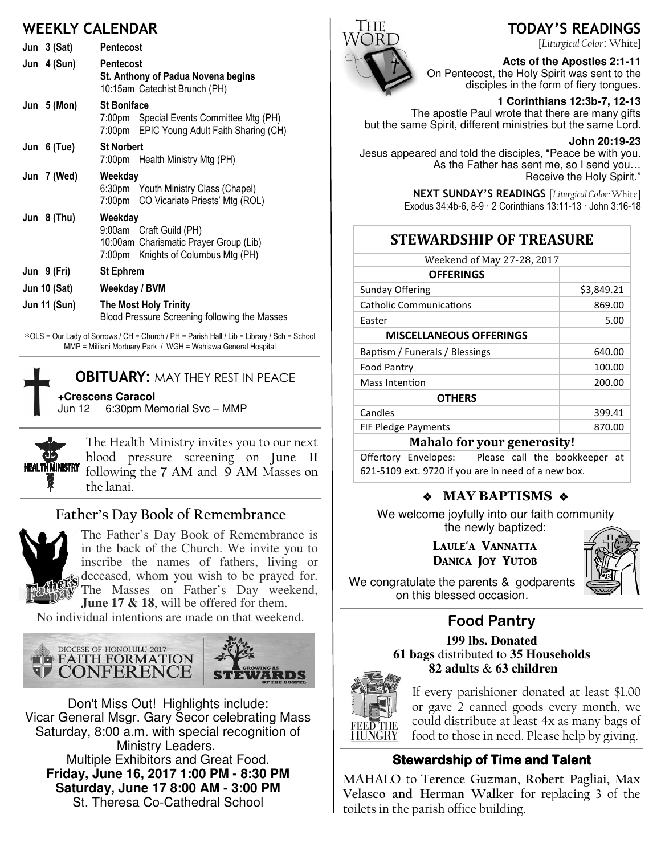# WEEKLY CALENDAR

| Jun $3(Sat)$        | <b>Pentecost</b>                                                                                                    |  |
|---------------------|---------------------------------------------------------------------------------------------------------------------|--|
| Jun 4 (Sun)         | <b>Pentecost</b><br>St. Anthony of Padua Novena begins<br>10:15am Catechist Brunch (PH)                             |  |
| Jun $5(Mon)$        | <b>St Boniface</b><br>7:00pm Special Events Committee Mtg (PH)<br>7:00pm EPIC Young Adult Faith Sharing (CH)        |  |
| Jun 6 (Tue)         | <b>St Norbert</b><br>7:00pm Health Ministry Mtg (PH)                                                                |  |
| Jun 7 (Wed)         | Weekdav<br>6:30pm Youth Ministry Class (Chapel)<br>7:00pm CO Vicariate Priests' Mtg (ROL)                           |  |
| Jun $8$ (Thu)       | Weekday<br>9:00am Craft Guild (PH)<br>10:00am Charismatic Prayer Group (Lib)<br>7:00pm Knights of Columbus Mtg (PH) |  |
| Jun 9 (Fri)         | <b>St Ephrem</b>                                                                                                    |  |
| <b>Jun 10 (Sat)</b> | Weekday / BVM                                                                                                       |  |
| <b>Jun 11 (Sun)</b> | <b>The Most Holy Trinity</b><br>Blood Pressure Screening following the Masses                                       |  |

∗OLS = Our Lady of Sorrows / CH = Church / PH = Parish Hall / Lib = Library / Sch = School MMP = Mililani Mortuary Park / WGH = Wahiawa General Hospital



### **OBITUARY: MAY THEY REST IN PEACE**

**+Crescens Caracol** Jun 12 6:30pm Memorial Svc – MMP



The Health Ministry invites you to our next blood pressure screening on June 11 following the 7 AM and 9 AM Masses on the lanai.

### Father's Day Book of Remembrance



The Father's Day Book of Remembrance is in the back of the Church. We invite you to inscribe the names of fathers, living or  $\mathbf{\hat{s}}$  deceased, whom you wish to be prayed for. The Masses on Father's Day weekend, **June 17 & 18**, will be offered for them.

No individual intentions are made on that weekend.



Don't Miss Out! Highlights include: Vicar General Msgr. Gary Secor celebrating Mass Saturday, 8:00 a.m. with special recognition of Ministry Leaders. Multiple Exhibitors and Great Food. **Friday, June 16, 2017 1:00 PM - 8:30 PM Saturday, June 17 8:00 AM - 3:00 PM**  St. Theresa Co-Cathedral School



# TODAY'S READINGS

[Liturgical Color: White]

**Acts of the Apostles 2:1-11**  On Pentecost, the Holy Spirit was sent to the disciples in the form of fiery tongues.

**1 Corinthians 12:3b-7, 12-13** 

The apostle Paul wrote that there are many gifts but the same Spirit, different ministries but the same Lord.

#### **John 20:19-23**

Jesus appeared and told the disciples, "Peace be with you. As the Father has sent me, so I send you… Receive the Holy Spirit."

> NEXT SUNDAY'S READINGS [Liturgical Color: White] Exodus 34:4b-6, 8-9 · 2 Corinthians 13:11-13 · John 3:16-18

# STEWARDSHIP OF TREASURE

| Weekend of May 27-28, 2017     |            |  |
|--------------------------------|------------|--|
| <b>OFFERINGS</b>               |            |  |
| Sunday Offering                | \$3,849.21 |  |
| <b>Catholic Communications</b> | 869.00     |  |
| Easter                         | 5.00       |  |
| <b>MISCELLANEOUS OFFERINGS</b> |            |  |
| Baptism / Funerals / Blessings | 640.00     |  |
| <b>Food Pantry</b>             | 100.00     |  |
| Mass Intention                 | 200.00     |  |
| <b>OTHERS</b>                  |            |  |
| Candles                        | 399.41     |  |
| <b>FIF Pledge Payments</b>     | 870.00     |  |
| 17 I I C<br>. .                |            |  |

#### Mahalo for your generosity!

Offertory Envelopes: Please call the bookkeeper at 621-5109 ext. 9720 if you are in need of a new box.

### ◆ MAY BAPTISMS ◆

We welcome joyfully into our faith community the newly baptized:

> LAULE'A VANNATTA DANICA JOY YUTOB



We congratulate the parents & godparents on this blessed occasion.

# Food Pantry

**199 lbs. Donated 61 bags** distributed to **35 Households 82 adults** & **63 children**



If every parishioner donated at least \$1.00 or gave 2 canned goods every month, we could distribute at least 4x as many bags of food to those in need. Please help by giving.

### **Stewardship of Time and Talent**

MAHALO to Terence Guzman, Robert Pagliai, Max Velasco and Herman Walker for replacing 3 of the toilets in the parish office building.